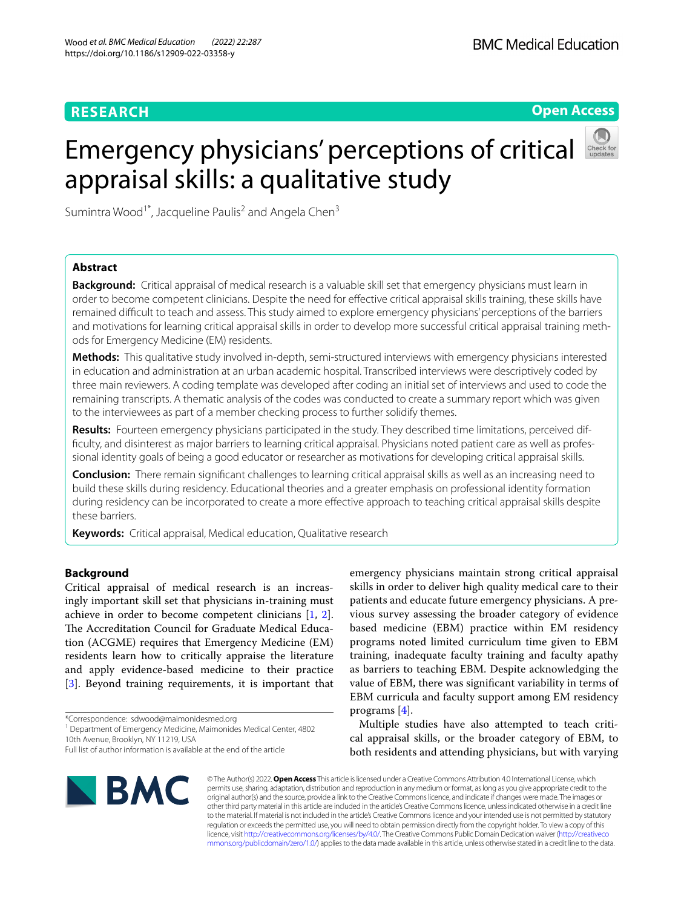## **RESEARCH**



# Emergency physicians' perceptions of critical appraisal skills: a qualitative study



Sumintra Wood<sup>1\*</sup>, Jacqueline Paulis<sup>2</sup> and Angela Chen<sup>3</sup>

## **Abstract**

**Background:** Critical appraisal of medical research is a valuable skill set that emergency physicians must learn in order to become competent clinicians. Despite the need for efective critical appraisal skills training, these skills have remained difficult to teach and assess. This study aimed to explore emergency physicians' perceptions of the barriers and motivations for learning critical appraisal skills in order to develop more successful critical appraisal training methods for Emergency Medicine (EM) residents.

**Methods:** This qualitative study involved in-depth, semi-structured interviews with emergency physicians interested in education and administration at an urban academic hospital. Transcribed interviews were descriptively coded by three main reviewers. A coding template was developed after coding an initial set of interviews and used to code the remaining transcripts. A thematic analysis of the codes was conducted to create a summary report which was given to the interviewees as part of a member checking process to further solidify themes.

**Results:** Fourteen emergency physicians participated in the study. They described time limitations, perceived diffculty, and disinterest as major barriers to learning critical appraisal. Physicians noted patient care as well as professional identity goals of being a good educator or researcher as motivations for developing critical appraisal skills.

**Conclusion:** There remain signifcant challenges to learning critical appraisal skills as well as an increasing need to build these skills during residency. Educational theories and a greater emphasis on professional identity formation during residency can be incorporated to create a more efective approach to teaching critical appraisal skills despite these barriers.

**Keywords:** Critical appraisal, Medical education, Qualitative research

## **Background**

Critical appraisal of medical research is an increasingly important skill set that physicians in-training must achieve in order to become competent clinicians [\[1](#page-7-0), [2](#page-7-1)]. The Accreditation Council for Graduate Medical Education (ACGME) requires that Emergency Medicine (EM) residents learn how to critically appraise the literature and apply evidence-based medicine to their practice [[3\]](#page-7-2). Beyond training requirements, it is important that

\*Correspondence: sdwood@maimonidesmed.org

<sup>1</sup> Department of Emergency Medicine, Maimonides Medical Center, 4802 10th Avenue, Brooklyn, NY 11219, USA

emergency physicians maintain strong critical appraisal skills in order to deliver high quality medical care to their patients and educate future emergency physicians. A previous survey assessing the broader category of evidence based medicine (EBM) practice within EM residency programs noted limited curriculum time given to EBM training, inadequate faculty training and faculty apathy as barriers to teaching EBM. Despite acknowledging the value of EBM, there was signifcant variability in terms of EBM curricula and faculty support among EM residency programs [\[4](#page-7-3)].

Multiple studies have also attempted to teach critical appraisal skills, or the broader category of EBM, to both residents and attending physicians, but with varying



© The Author(s) 2022. **Open Access** This article is licensed under a Creative Commons Attribution 4.0 International License, which permits use, sharing, adaptation, distribution and reproduction in any medium or format, as long as you give appropriate credit to the original author(s) and the source, provide a link to the Creative Commons licence, and indicate if changes were made. The images or other third party material in this article are included in the article's Creative Commons licence, unless indicated otherwise in a credit line to the material. If material is not included in the article's Creative Commons licence and your intended use is not permitted by statutory regulation or exceeds the permitted use, you will need to obtain permission directly from the copyright holder. To view a copy of this licence, visit [http://creativecommons.org/licenses/by/4.0/.](http://creativecommons.org/licenses/by/4.0/) The Creative Commons Public Domain Dedication waiver ([http://creativeco](http://creativecommons.org/publicdomain/zero/1.0/) [mmons.org/publicdomain/zero/1.0/](http://creativecommons.org/publicdomain/zero/1.0/)) applies to the data made available in this article, unless otherwise stated in a credit line to the data.

Full list of author information is available at the end of the article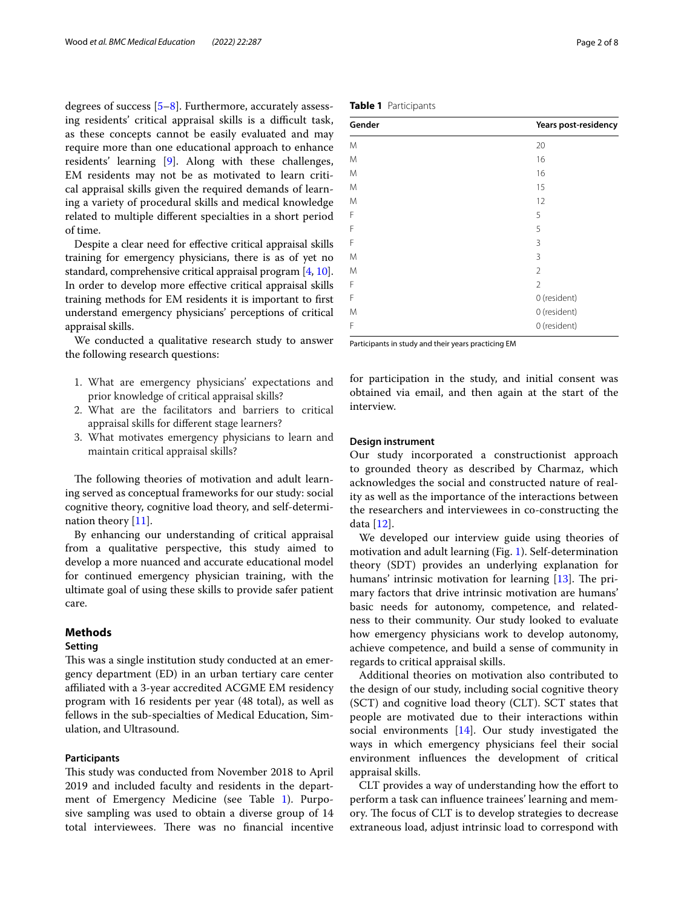degrees of success [\[5](#page-7-4)–[8\]](#page-7-5). Furthermore, accurately assessing residents' critical appraisal skills is a difficult task, as these concepts cannot be easily evaluated and may require more than one educational approach to enhance residents' learning [\[9](#page-7-6)]. Along with these challenges, EM residents may not be as motivated to learn critical appraisal skills given the required demands of learning a variety of procedural skills and medical knowledge related to multiple diferent specialties in a short period of time.

Despite a clear need for efective critical appraisal skills training for emergency physicians, there is as of yet no standard, comprehensive critical appraisal program [\[4](#page-7-3), [10](#page-7-7)]. In order to develop more efective critical appraisal skills training methods for EM residents it is important to frst understand emergency physicians' perceptions of critical appraisal skills.

We conducted a qualitative research study to answer the following research questions:

- 1. What are emergency physicians' expectations and prior knowledge of critical appraisal skills?
- 2. What are the facilitators and barriers to critical appraisal skills for diferent stage learners?
- 3. What motivates emergency physicians to learn and maintain critical appraisal skills?

The following theories of motivation and adult learning served as conceptual frameworks for our study: social cognitive theory, cognitive load theory, and self-determi-nation theory [[11\]](#page-7-8).

By enhancing our understanding of critical appraisal from a qualitative perspective, this study aimed to develop a more nuanced and accurate educational model for continued emergency physician training, with the ultimate goal of using these skills to provide safer patient care.

## **Methods**

### **Setting**

This was a single institution study conducted at an emergency department (ED) in an urban tertiary care center affiliated with a 3-year accredited ACGME EM residency program with 16 residents per year (48 total), as well as fellows in the sub-specialties of Medical Education, Simulation, and Ultrasound.

## **Participants**

This study was conducted from November 2018 to April 2019 and included faculty and residents in the department of Emergency Medicine (see Table [1](#page-1-0)). Purposive sampling was used to obtain a diverse group of 14 total interviewees. There was no financial incentive

| M | 20             |
|---|----------------|
| M | 16             |
| M | 16             |
| M | 15             |
| M | 12             |
| F | 5              |
| F | 5              |
| F | 3              |
| M | 3              |
| M | $\overline{2}$ |
| F | $\overline{2}$ |
| F | 0 (resident)   |
| M | 0 (resident)   |

**Gender Years post-residency**

Participants in study and their years practicing EM

for participation in the study, and initial consent was obtained via email, and then again at the start of the interview.

0 (resident)

## **Design instrument**

Our study incorporated a constructionist approach to grounded theory as described by Charmaz, which acknowledges the social and constructed nature of reality as well as the importance of the interactions between the researchers and interviewees in co-constructing the data [[12\]](#page-7-9).

We developed our interview guide using theories of motivation and adult learning (Fig. [1\)](#page-2-0). Self-determination theory (SDT) provides an underlying explanation for humans' intrinsic motivation for learning  $[13]$  $[13]$ . The primary factors that drive intrinsic motivation are humans' basic needs for autonomy, competence, and relatedness to their community. Our study looked to evaluate how emergency physicians work to develop autonomy, achieve competence, and build a sense of community in regards to critical appraisal skills.

Additional theories on motivation also contributed to the design of our study, including social cognitive theory (SCT) and cognitive load theory (CLT). SCT states that people are motivated due to their interactions within social environments [\[14](#page-7-11)]. Our study investigated the ways in which emergency physicians feel their social environment infuences the development of critical appraisal skills.

CLT provides a way of understanding how the efort to perform a task can infuence trainees' learning and memory. The focus of CLT is to develop strategies to decrease extraneous load, adjust intrinsic load to correspond with

<span id="page-1-0"></span>

|  | Table 1 Participants |
|--|----------------------|
|--|----------------------|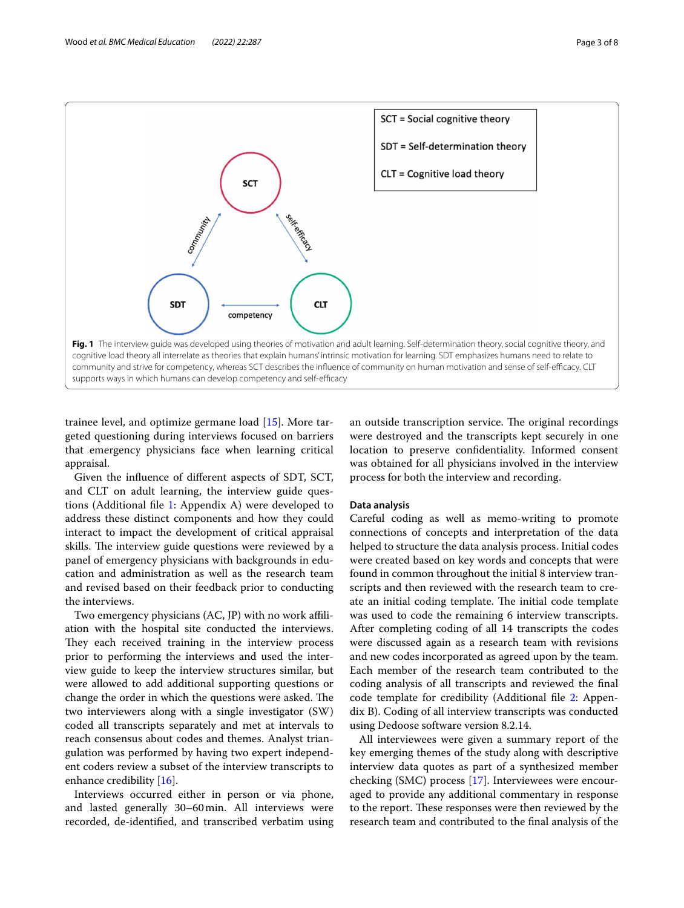

<span id="page-2-0"></span>trainee level, and optimize germane load [[15\]](#page-7-12). More targeted questioning during interviews focused on barriers that emergency physicians face when learning critical appraisal.

Given the infuence of diferent aspects of SDT, SCT, and CLT on adult learning, the interview guide questions (Additional fle [1](#page-7-13): Appendix A) were developed to address these distinct components and how they could interact to impact the development of critical appraisal skills. The interview guide questions were reviewed by a panel of emergency physicians with backgrounds in education and administration as well as the research team and revised based on their feedback prior to conducting the interviews.

Two emergency physicians (AC, JP) with no work afliation with the hospital site conducted the interviews. They each received training in the interview process prior to performing the interviews and used the interview guide to keep the interview structures similar, but were allowed to add additional supporting questions or change the order in which the questions were asked. The two interviewers along with a single investigator (SW) coded all transcripts separately and met at intervals to reach consensus about codes and themes. Analyst triangulation was performed by having two expert independent coders review a subset of the interview transcripts to enhance credibility [[16\]](#page-7-14).

Interviews occurred either in person or via phone, and lasted generally 30–60min. All interviews were recorded, de-identifed, and transcribed verbatim using

an outside transcription service. The original recordings were destroyed and the transcripts kept securely in one location to preserve confdentiality. Informed consent was obtained for all physicians involved in the interview process for both the interview and recording.

## **Data analysis**

Careful coding as well as memo-writing to promote connections of concepts and interpretation of the data helped to structure the data analysis process. Initial codes were created based on key words and concepts that were found in common throughout the initial 8 interview transcripts and then reviewed with the research team to create an initial coding template. The initial code template was used to code the remaining 6 interview transcripts. After completing coding of all 14 transcripts the codes were discussed again as a research team with revisions and new codes incorporated as agreed upon by the team. Each member of the research team contributed to the coding analysis of all transcripts and reviewed the fnal code template for credibility (Additional fle [2](#page-7-15): Appendix B). Coding of all interview transcripts was conducted using Dedoose software version 8.2.14.

All interviewees were given a summary report of the key emerging themes of the study along with descriptive interview data quotes as part of a synthesized member checking (SMC) process [\[17](#page-7-16)]. Interviewees were encouraged to provide any additional commentary in response to the report. These responses were then reviewed by the research team and contributed to the fnal analysis of the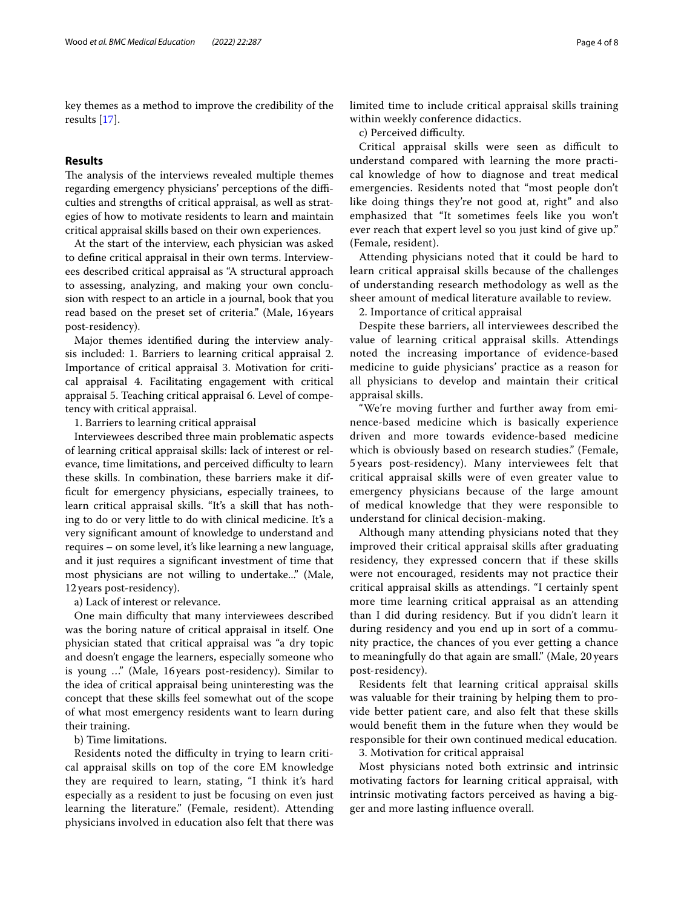key themes as a method to improve the credibility of the results [\[17](#page-7-16)].

## **Results**

The analysis of the interviews revealed multiple themes regarding emergency physicians' perceptions of the difficulties and strengths of critical appraisal, as well as strategies of how to motivate residents to learn and maintain critical appraisal skills based on their own experiences.

At the start of the interview, each physician was asked to defne critical appraisal in their own terms. Interviewees described critical appraisal as "A structural approach to assessing, analyzing, and making your own conclusion with respect to an article in a journal, book that you read based on the preset set of criteria." (Male, 16years post-residency).

Major themes identifed during the interview analysis included: 1. Barriers to learning critical appraisal 2. Importance of critical appraisal 3. Motivation for critical appraisal 4. Facilitating engagement with critical appraisal 5. Teaching critical appraisal 6. Level of competency with critical appraisal.

1. Barriers to learning critical appraisal

Interviewees described three main problematic aspects of learning critical appraisal skills: lack of interest or relevance, time limitations, and perceived difficulty to learn these skills. In combination, these barriers make it diffcult for emergency physicians, especially trainees, to learn critical appraisal skills. "It's a skill that has nothing to do or very little to do with clinical medicine. It's a very signifcant amount of knowledge to understand and requires – on some level, it's like learning a new language, and it just requires a signifcant investment of time that most physicians are not willing to undertake..." (Male, 12years post-residency).

a) Lack of interest or relevance.

One main difficulty that many interviewees described was the boring nature of critical appraisal in itself. One physician stated that critical appraisal was "a dry topic and doesn't engage the learners, especially someone who is young …" (Male, 16 years post-residency). Similar to the idea of critical appraisal being uninteresting was the concept that these skills feel somewhat out of the scope of what most emergency residents want to learn during their training.

b) Time limitations.

Residents noted the difficulty in trying to learn critical appraisal skills on top of the core EM knowledge they are required to learn, stating, "I think it's hard especially as a resident to just be focusing on even just learning the literature." (Female, resident). Attending physicians involved in education also felt that there was limited time to include critical appraisal skills training within weekly conference didactics.

c) Perceived difficulty.

Critical appraisal skills were seen as difficult to understand compared with learning the more practical knowledge of how to diagnose and treat medical emergencies. Residents noted that "most people don't like doing things they're not good at, right" and also emphasized that "It sometimes feels like you won't ever reach that expert level so you just kind of give up." (Female, resident).

Attending physicians noted that it could be hard to learn critical appraisal skills because of the challenges of understanding research methodology as well as the sheer amount of medical literature available to review.

2. Importance of critical appraisal

Despite these barriers, all interviewees described the value of learning critical appraisal skills. Attendings noted the increasing importance of evidence-based medicine to guide physicians' practice as a reason for all physicians to develop and maintain their critical appraisal skills.

"We're moving further and further away from eminence-based medicine which is basically experience driven and more towards evidence-based medicine which is obviously based on research studies." (Female, 5 years post-residency). Many interviewees felt that critical appraisal skills were of even greater value to emergency physicians because of the large amount of medical knowledge that they were responsible to understand for clinical decision-making.

Although many attending physicians noted that they improved their critical appraisal skills after graduating residency, they expressed concern that if these skills were not encouraged, residents may not practice their critical appraisal skills as attendings. "I certainly spent more time learning critical appraisal as an attending than I did during residency. But if you didn't learn it during residency and you end up in sort of a community practice, the chances of you ever getting a chance to meaningfully do that again are small." (Male, 20 years post-residency).

Residents felt that learning critical appraisal skills was valuable for their training by helping them to provide better patient care, and also felt that these skills would beneft them in the future when they would be responsible for their own continued medical education. 3. Motivation for critical appraisal

Most physicians noted both extrinsic and intrinsic motivating factors for learning critical appraisal, with intrinsic motivating factors perceived as having a bigger and more lasting infuence overall.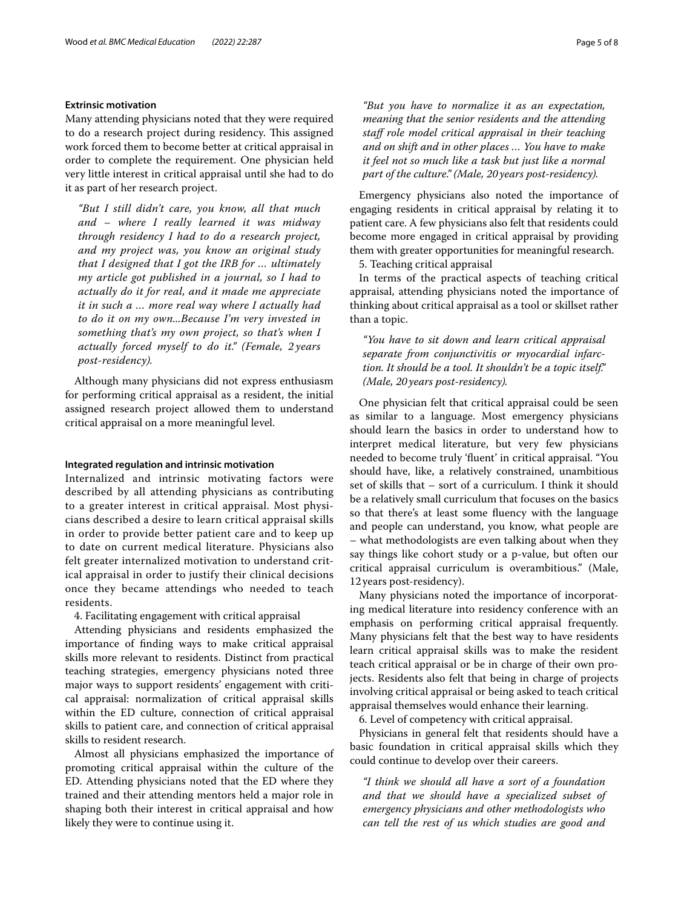## **Extrinsic motivation**

Many attending physicians noted that they were required to do a research project during residency. This assigned work forced them to become better at critical appraisal in order to complete the requirement. One physician held very little interest in critical appraisal until she had to do it as part of her research project.

*"But I still didn't care, you know, all that much and – where I really learned it was midway through residency I had to do a research project, and my project was, you know an original study that I designed that I got the IRB for … ultimately my article got published in a journal, so I had to actually do it for real, and it made me appreciate it in such a … more real way where I actually had to do it on my own...Because I'm very invested in something that's my own project, so that's when I actually forced myself to do it." (Female, 2 years post-residency).*

Although many physicians did not express enthusiasm for performing critical appraisal as a resident, the initial assigned research project allowed them to understand critical appraisal on a more meaningful level.

#### **Integrated regulation and intrinsic motivation**

Internalized and intrinsic motivating factors were described by all attending physicians as contributing to a greater interest in critical appraisal. Most physicians described a desire to learn critical appraisal skills in order to provide better patient care and to keep up to date on current medical literature. Physicians also felt greater internalized motivation to understand critical appraisal in order to justify their clinical decisions once they became attendings who needed to teach residents.

4. Facilitating engagement with critical appraisal

Attending physicians and residents emphasized the importance of fnding ways to make critical appraisal skills more relevant to residents. Distinct from practical teaching strategies, emergency physicians noted three major ways to support residents' engagement with critical appraisal: normalization of critical appraisal skills within the ED culture, connection of critical appraisal skills to patient care, and connection of critical appraisal skills to resident research.

Almost all physicians emphasized the importance of promoting critical appraisal within the culture of the ED. Attending physicians noted that the ED where they trained and their attending mentors held a major role in shaping both their interest in critical appraisal and how likely they were to continue using it.

*"But you have to normalize it as an expectation, meaning that the senior residents and the attending staf role model critical appraisal in their teaching and on shift and in other places … You have to make it feel not so much like a task but just like a normal part of the culture." (Male, 20years post-residency).*

Emergency physicians also noted the importance of engaging residents in critical appraisal by relating it to patient care. A few physicians also felt that residents could become more engaged in critical appraisal by providing them with greater opportunities for meaningful research.

5. Teaching critical appraisal

In terms of the practical aspects of teaching critical appraisal, attending physicians noted the importance of thinking about critical appraisal as a tool or skillset rather than a topic.

*"You have to sit down and learn critical appraisal separate from conjunctivitis or myocardial infarction. It should be a tool. It shouldn't be a topic itself." (Male, 20years post-residency).*

One physician felt that critical appraisal could be seen as similar to a language. Most emergency physicians should learn the basics in order to understand how to interpret medical literature, but very few physicians needed to become truly 'fuent' in critical appraisal. "You should have, like, a relatively constrained, unambitious set of skills that – sort of a curriculum. I think it should be a relatively small curriculum that focuses on the basics so that there's at least some fuency with the language and people can understand, you know, what people are – what methodologists are even talking about when they say things like cohort study or a p-value, but often our critical appraisal curriculum is overambitious." (Male, 12years post-residency).

Many physicians noted the importance of incorporating medical literature into residency conference with an emphasis on performing critical appraisal frequently. Many physicians felt that the best way to have residents learn critical appraisal skills was to make the resident teach critical appraisal or be in charge of their own projects. Residents also felt that being in charge of projects involving critical appraisal or being asked to teach critical appraisal themselves would enhance their learning.

6. Level of competency with critical appraisal.

Physicians in general felt that residents should have a basic foundation in critical appraisal skills which they could continue to develop over their careers.

*"I think we should all have a sort of a foundation and that we should have a specialized subset of emergency physicians and other methodologists who can tell the rest of us which studies are good and*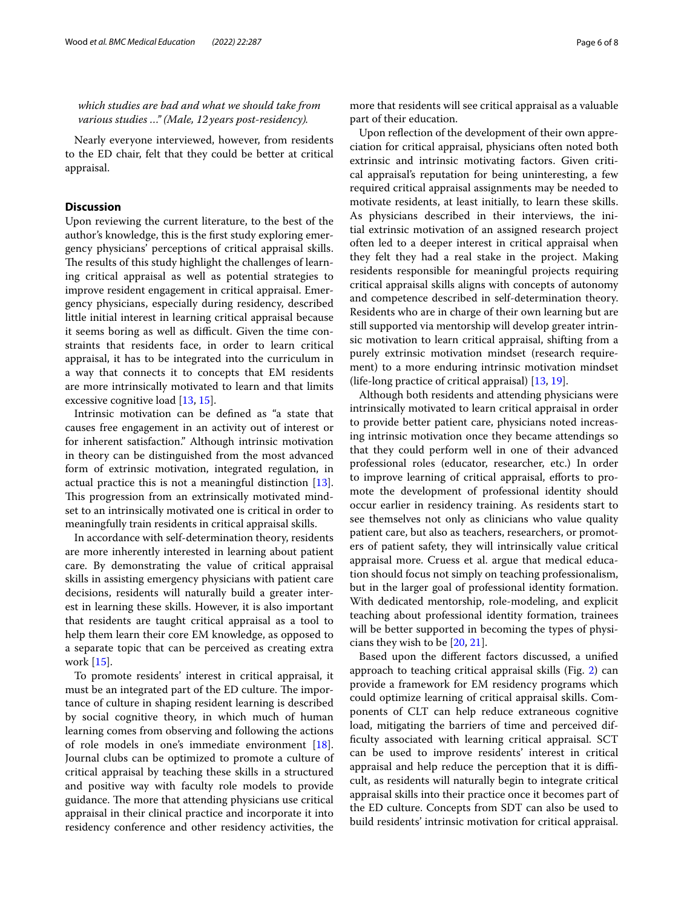*which studies are bad and what we should take from various studies …" (Male, 12years post-residency).*

Nearly everyone interviewed, however, from residents to the ED chair, felt that they could be better at critical appraisal.

## **Discussion**

Upon reviewing the current literature, to the best of the author's knowledge, this is the frst study exploring emergency physicians' perceptions of critical appraisal skills. The results of this study highlight the challenges of learning critical appraisal as well as potential strategies to improve resident engagement in critical appraisal. Emergency physicians, especially during residency, described little initial interest in learning critical appraisal because it seems boring as well as difficult. Given the time constraints that residents face, in order to learn critical appraisal, it has to be integrated into the curriculum in a way that connects it to concepts that EM residents are more intrinsically motivated to learn and that limits excessive cognitive load [[13,](#page-7-10) [15\]](#page-7-12).

Intrinsic motivation can be defned as "a state that causes free engagement in an activity out of interest or for inherent satisfaction." Although intrinsic motivation in theory can be distinguished from the most advanced form of extrinsic motivation, integrated regulation, in actual practice this is not a meaningful distinction [\[13](#page-7-10)]. This progression from an extrinsically motivated mindset to an intrinsically motivated one is critical in order to meaningfully train residents in critical appraisal skills.

In accordance with self-determination theory, residents are more inherently interested in learning about patient care. By demonstrating the value of critical appraisal skills in assisting emergency physicians with patient care decisions, residents will naturally build a greater interest in learning these skills. However, it is also important that residents are taught critical appraisal as a tool to help them learn their core EM knowledge, as opposed to a separate topic that can be perceived as creating extra work [[15\]](#page-7-12).

To promote residents' interest in critical appraisal, it must be an integrated part of the ED culture. The importance of culture in shaping resident learning is described by social cognitive theory, in which much of human learning comes from observing and following the actions of role models in one's immediate environment [\[18](#page-7-17)]. Journal clubs can be optimized to promote a culture of critical appraisal by teaching these skills in a structured and positive way with faculty role models to provide guidance. The more that attending physicians use critical appraisal in their clinical practice and incorporate it into residency conference and other residency activities, the more that residents will see critical appraisal as a valuable part of their education.

Upon refection of the development of their own appreciation for critical appraisal, physicians often noted both extrinsic and intrinsic motivating factors. Given critical appraisal's reputation for being uninteresting, a few required critical appraisal assignments may be needed to motivate residents, at least initially, to learn these skills. As physicians described in their interviews, the initial extrinsic motivation of an assigned research project often led to a deeper interest in critical appraisal when they felt they had a real stake in the project. Making residents responsible for meaningful projects requiring critical appraisal skills aligns with concepts of autonomy and competence described in self-determination theory. Residents who are in charge of their own learning but are still supported via mentorship will develop greater intrinsic motivation to learn critical appraisal, shifting from a purely extrinsic motivation mindset (research requirement) to a more enduring intrinsic motivation mindset (life-long practice of critical appraisal) [[13](#page-7-10), [19\]](#page-7-18).

Although both residents and attending physicians were intrinsically motivated to learn critical appraisal in order to provide better patient care, physicians noted increasing intrinsic motivation once they became attendings so that they could perform well in one of their advanced professional roles (educator, researcher, etc.) In order to improve learning of critical appraisal, efforts to promote the development of professional identity should occur earlier in residency training. As residents start to see themselves not only as clinicians who value quality patient care, but also as teachers, researchers, or promoters of patient safety, they will intrinsically value critical appraisal more. Cruess et al. argue that medical education should focus not simply on teaching professionalism, but in the larger goal of professional identity formation. With dedicated mentorship, role-modeling, and explicit teaching about professional identity formation, trainees will be better supported in becoming the types of physicians they wish to be [[20,](#page-7-19) [21](#page-7-20)].

Based upon the diferent factors discussed, a unifed approach to teaching critical appraisal skills (Fig. [2\)](#page-6-0) can provide a framework for EM residency programs which could optimize learning of critical appraisal skills. Components of CLT can help reduce extraneous cognitive load, mitigating the barriers of time and perceived diffculty associated with learning critical appraisal. SCT can be used to improve residents' interest in critical appraisal and help reduce the perception that it is difficult, as residents will naturally begin to integrate critical appraisal skills into their practice once it becomes part of the ED culture. Concepts from SDT can also be used to build residents' intrinsic motivation for critical appraisal.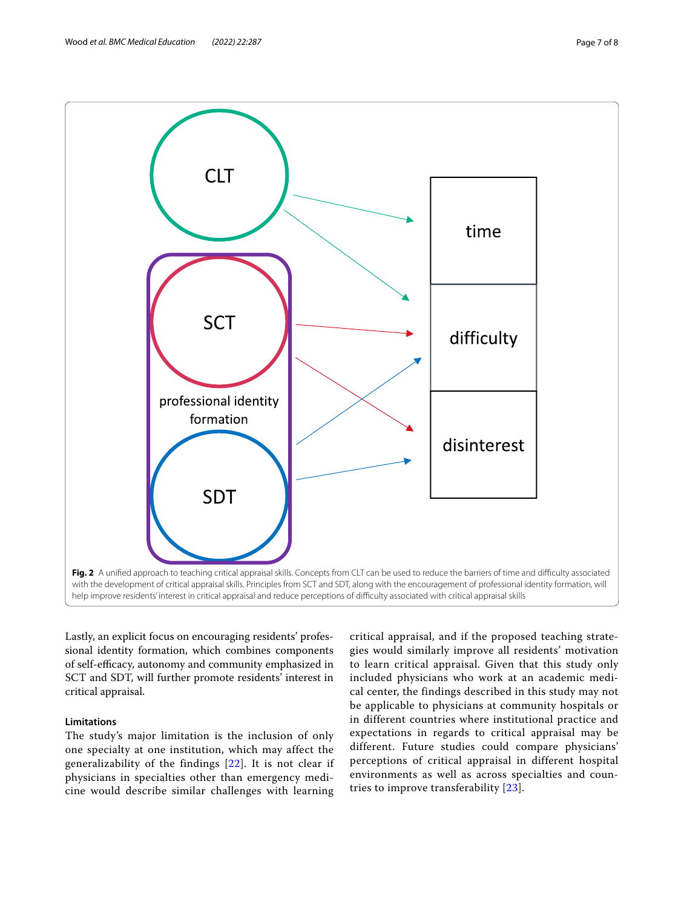

<span id="page-6-0"></span>Lastly, an explicit focus on encouraging residents' professional identity formation, which combines components of self-efficacy, autonomy and community emphasized in SCT and SDT, will further promote residents' interest in critical appraisal.

## **Limitations**

The study's major limitation is the inclusion of only one specialty at one institution, which may affect the generalizability of the findings [[22](#page-7-21)]. It is not clear if physicians in specialties other than emergency medicine would describe similar challenges with learning critical appraisal, and if the proposed teaching strategies would similarly improve all residents' motivation to learn critical appraisal. Given that this study only included physicians who work at an academic medical center, the findings described in this study may not be applicable to physicians at community hospitals or in different countries where institutional practice and expectations in regards to critical appraisal may be different. Future studies could compare physicians' perceptions of critical appraisal in different hospital environments as well as across specialties and countries to improve transferability [[23](#page-7-22)].